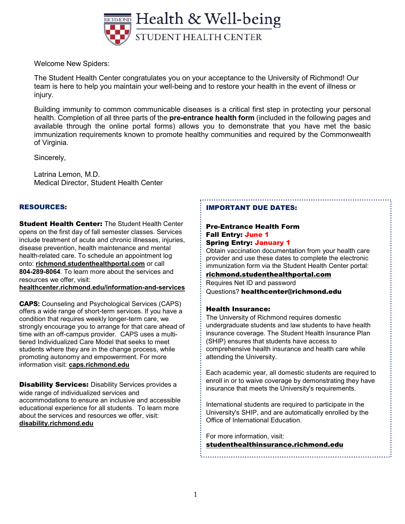

Welcome New Spiders:

The Student Health Center congratulates you on your acceptance to the University of Richmond! Our team is here to help you maintain your well-being and to restore your health in the event of illness or injury.

Building immunity to common communicable diseases is a critical first step in protecting your personal health. Completion of all three parts of the **pre-entrance health form** (included in the following pages and available through the online portal forms) allows you to demonstrate that you have met the basic immunization requirements known to promote healthy communities and required by the Commonwealth of Virginia.

Sincerely,

Latrina Lemon, M.D. Medical Director, Student Health Center

### RESOURCES:

**Student Health Center: The Student Health Center** opens on the first day of fall semester classes. Services include treatment of acute and chronic illnesses, injuries, disease prevention, health maintenance and mental health-related care. To schedule an appointment log onto: **richmond.studenthealthportal.com** or call **804-289-8064**. To learn more about the services and resources we offer, visit:

**healthcenter.richmond.edu/information-and-services**

**CAPS:** Counseling and Psychological Services (CAPS) offers a wide range of short-term services. If you have a condition that requires weekly longer-term care, we strongly encourage you to arrange for that care ahead of time with an off-campus provider. CAPS uses a multitiered Individualized Care Model that seeks to meet students where they are in the change process, while promoting autonomy and empowerment. For more information visit: **caps.richmond.edu**

**Disability Services:** Disability Services provides a wide range of individualized services and accommodations to ensure an inclusive and accessible educational experience for all students. To learn more about the services and resources we offer, visit: **disability.richmond.edu**

### IMPORTANT DUE DATES:

#### Pre-Entrance Health Form Fall Entry: June 1 Spring Entry: January 1

Obtain vaccination documentation from your health care provider and use these dates to complete the electronic immunization form via the Student Health Center portal:

richmond.studenthealthportal.com Requires Net ID and password

Questions? healthcenter@richmond.edu

### Health Insurance:

The University of Richmond requires domestic undergraduate students and law students to have health insurance coverage. The Student Health Insurance Plan (SHIP) ensures that students have access to comprehensive health insurance and health care while attending the University.

Each academic year, all domestic students are required to enroll in or to waive coverage by demonstrating they have insurance that meets the University's requirements.

International students are required to participate in the University's SHIP, and are automatically enrolled by the Office of International Education.

For more information, visit:

studenthealthinsurance.richmond.edu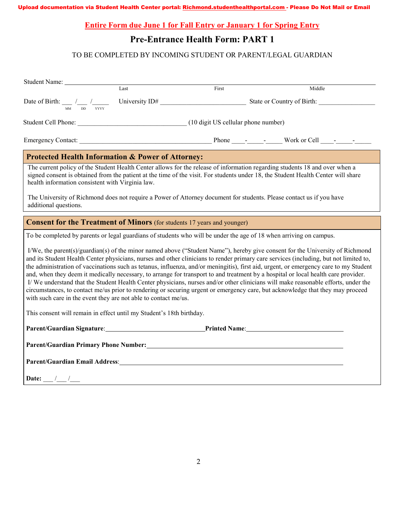**Entire Form due June 1 for Fall Entry or January 1 for Spring Entry**

# **Pre-Entrance Health Form: PART 1**

## TO BE COMPLETED BY INCOMING STUDENT OR PARENT/LEGAL GUARDIAN

|                                                                           | Last                                                                                                                                                                                                                           | First | Middle                                                                                                                                                                                                                                                                                                                                                                                                                                                                                                                                             |  |  |  |  |  |
|---------------------------------------------------------------------------|--------------------------------------------------------------------------------------------------------------------------------------------------------------------------------------------------------------------------------|-------|----------------------------------------------------------------------------------------------------------------------------------------------------------------------------------------------------------------------------------------------------------------------------------------------------------------------------------------------------------------------------------------------------------------------------------------------------------------------------------------------------------------------------------------------------|--|--|--|--|--|
|                                                                           |                                                                                                                                                                                                                                |       | Date of Birth: $\frac{1}{\mu}$ $\frac{1}{\mu}$ $\frac{1}{\mu}$ University ID# State or Country of Birth:                                                                                                                                                                                                                                                                                                                                                                                                                                           |  |  |  |  |  |
|                                                                           | Student Cell Phone: (10 digit US cellular phone number)                                                                                                                                                                        |       |                                                                                                                                                                                                                                                                                                                                                                                                                                                                                                                                                    |  |  |  |  |  |
|                                                                           |                                                                                                                                                                                                                                |       |                                                                                                                                                                                                                                                                                                                                                                                                                                                                                                                                                    |  |  |  |  |  |
|                                                                           | <b>Protected Health Information &amp; Power of Attorney:</b>                                                                                                                                                                   |       |                                                                                                                                                                                                                                                                                                                                                                                                                                                                                                                                                    |  |  |  |  |  |
| health information consistent with Virginia law.<br>additional questions. |                                                                                                                                                                                                                                |       | The current policy of the Student Health Center allows for the release of information regarding students 18 and over when a<br>signed consent is obtained from the patient at the time of the visit. For students under 18, the Student Health Center will share<br>The University of Richmond does not require a Power of Attorney document for students. Please contact us if you have                                                                                                                                                           |  |  |  |  |  |
|                                                                           | <b>Consent for the Treatment of Minors</b> (for students 17 years and younger)                                                                                                                                                 |       |                                                                                                                                                                                                                                                                                                                                                                                                                                                                                                                                                    |  |  |  |  |  |
|                                                                           |                                                                                                                                                                                                                                |       | To be completed by parents or legal guardians of students who will be under the age of 18 when arriving on campus.                                                                                                                                                                                                                                                                                                                                                                                                                                 |  |  |  |  |  |
|                                                                           |                                                                                                                                                                                                                                |       | I/We, the parent(s)/guardian(s) of the minor named above ("Student Name"), hereby give consent for the University of Richmond<br>and its Student Health Center physicians, nurses and other clinicians to render primary care services (including, but not limited to,                                                                                                                                                                                                                                                                             |  |  |  |  |  |
|                                                                           | with such care in the event they are not able to contact me/us.                                                                                                                                                                |       | the administration of vaccinations such as tetanus, influenza, and/or meningitis), first aid, urgent, or emergency care to my Student<br>and, when they deem it medically necessary, to arrange for transport to and treatment by a hospital or local health care provider.<br>I/We understand that the Student Health Center physicians, nurses and/or other clinicians will make reasonable efforts, under the<br>circumstances, to contact me/us prior to rendering or securing urgent or emergency care, but acknowledge that they may proceed |  |  |  |  |  |
|                                                                           | This consent will remain in effect until my Student's 18th birthday.                                                                                                                                                           |       |                                                                                                                                                                                                                                                                                                                                                                                                                                                                                                                                                    |  |  |  |  |  |
|                                                                           |                                                                                                                                                                                                                                |       | Parent/Guardian Signature: Printed Name: Printed Name:                                                                                                                                                                                                                                                                                                                                                                                                                                                                                             |  |  |  |  |  |
|                                                                           |                                                                                                                                                                                                                                |       | Parent/Guardian Primary Phone Number: New York 2014 19:30 19:30 19:30 19:30 19:30 19:30 19:30 19:30 19:30 19:30                                                                                                                                                                                                                                                                                                                                                                                                                                    |  |  |  |  |  |
|                                                                           | Parent/Guardian Email Address: Universe of the Contractor of the Contractor of the Contractor of the Contractor of the Contractor of the Contractor of the Contractor of the Contractor of the Contractor of the Contractor of |       |                                                                                                                                                                                                                                                                                                                                                                                                                                                                                                                                                    |  |  |  |  |  |